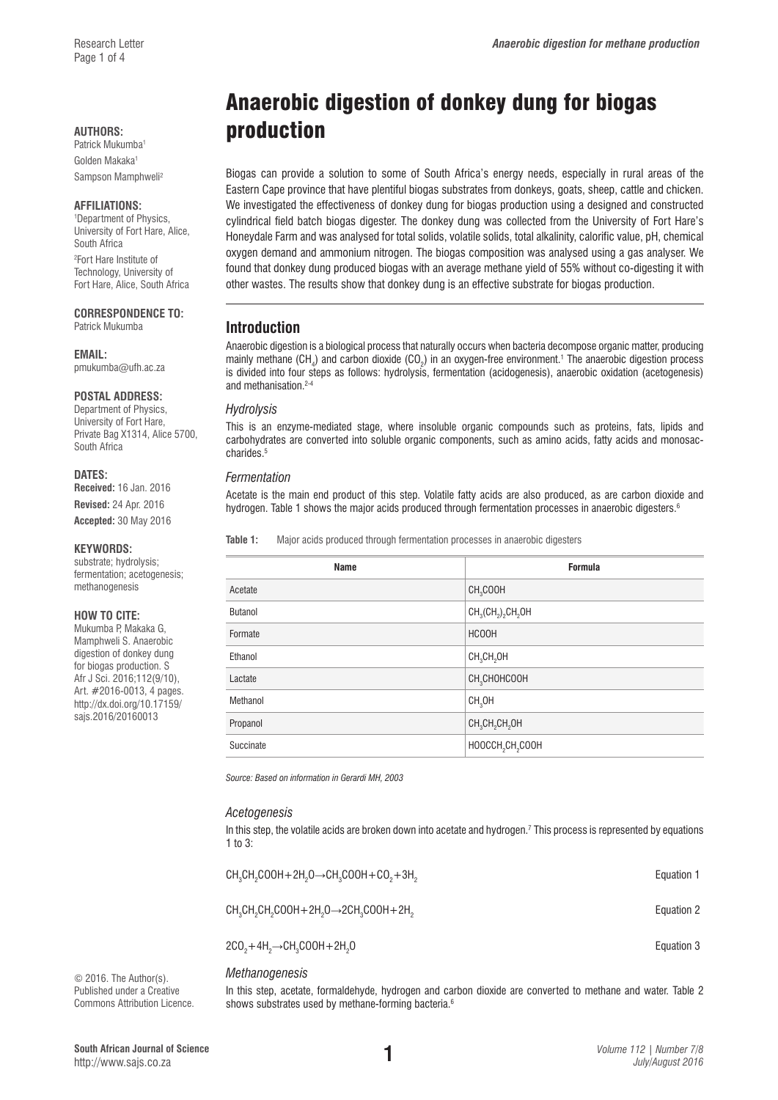Golden Makaka<sup>1</sup> Sampson Mamphweli2

#### **AFFILIATIONS:**

1 Department of Physics, University of Fort Hare, Alice, South Africa 2 Fort Hare Institute of Technology, University of Fort Hare, Alice, South Africa

**CORRESPONDENCE TO:** 

Patrick Mukumba

#### **EMAIL:**

[pmukumba@ufh.ac.za](mailto:pmukumba@ufh.ac.za)

# **POSTAL ADDRESS:**

Department of Physics, University of Fort Hare, Private Bag X1314, Alice 5700, South Africa

#### **DATES:**

**Received:** 16 Jan. 2016 **Revised:** 24 Apr. 2016

**Accepted:** 30 May 2016

#### **KEYWORDS:**

substrate; hydrolysis; fermentation; acetogenesis; methanogenesis

#### **HOW TO CITE:**

Mukumba P, Makaka G, Mamphweli S. Anaerobic digestion of donkey dung for biogas production. S Afr J Sci. 2016;112(9/10), Art. #2016-0013, 4 pages. [http://dx.doi.org/10.17159/](http://dx.doi.org/10.17159/sajs.2016/20160013) [sajs.2016/20160013](http://dx.doi.org/10.17159/sajs.2016/20160013)

# Anaerobic digestion of donkey dung for biogas **AUTHORS: production**

Biogas can provide a solution to some of South Africa's energy needs, especially in rural areas of the Eastern Cape province that have plentiful biogas substrates from donkeys, goats, sheep, cattle and chicken. We investigated the effectiveness of donkey dung for biogas production using a designed and constructed cylindrical field batch biogas digester. The donkey dung was collected from the University of Fort Hare's Honeydale Farm and was analysed for total solids, volatile solids, total alkalinity, calorific value, pH, chemical oxygen demand and ammonium nitrogen. The biogas composition was analysed using a gas analyser. We found that donkey dung produced biogas with an average methane yield of 55% without co-digesting it with other wastes. The results show that donkey dung is an effective substrate for biogas production.

# **Introduction**

Anaerobic digestion is a biological process that naturally occurs when bacteria decompose organic matter, producing mainly methane (CH<sub>4</sub>) and carbon dioxide (CO<sub>2</sub>) in an oxygen-free environment.<sup>1</sup> The anaerobic digestion process is divided into four steps as follows: hydrolysis, fermentation (acidogenesis), anaerobic oxidation (acetogenesis) and methanisation.<sup>2-4</sup>

#### *Hydrolysis*

This is an enzyme-mediated stage, where insoluble organic compounds such as proteins, fats, lipids and carbohydrates are converted into soluble organic components, such as amino acids, fatty acids and monosaccharides<sup>5</sup>

#### *Fermentation*

 $\overline{\phantom{0}}$ Ė

Acetate is the main end product of this step. Volatile fatty acids are also produced, as are carbon dioxide and hydrogen. Table 1 shows the major acids produced through fermentation processes in anaerobic digesters.<sup>6</sup>

**Table 1:** Major acids produced through fermentation processes in anaerobic digesters

| <b>Name</b>    | <b>Formula</b>                                     |
|----------------|----------------------------------------------------|
| Acetate        | CH <sub>3</sub> COOH                               |
| <b>Butanol</b> | $CH_3(CH_2)$ <sub>2</sub> CH <sub>2</sub> OH       |
| Formate        | <b>HCOOH</b>                                       |
| Ethanol        | CH <sub>3</sub> CH <sub>2</sub> OH                 |
| Lactate        | CH <sub>3</sub> CHOHCOOH                           |
| Methanol       | CH <sub>3</sub> OH                                 |
| Propanol       | CH <sub>3</sub> CH <sub>2</sub> CH <sub>2</sub> OH |
| Succinate      | HOOCCH <sub>2</sub> CH <sub>2</sub> COOH           |
|                |                                                    |

*Source: Based on information in Gerardi MH, 2003*

#### *Acetogenesis*

In this step, the volatile acids are broken down into acetate and hydrogen.<sup>7</sup> This process is represented by equations 1 to  $3$ 

| $CH3CH2COOH + 2H2O \rightarrow CH3COOH + CO2 + 3H2$ | Equation 1 |
|-----------------------------------------------------|------------|
| $CH3CH2CH2COOH + 2H2O \rightarrow 2CH3COOH + 2H2$   | Equation 2 |
| $2CO2+4H2\rightarrow CH3COOH+2H2O$                  | Equation 3 |

#### *Methanogenesis*

In this step, acetate, formaldehyde, hydrogen and carbon dioxide are converted to methane and water. Table 2 shows substrates used by methane-forming bacteria.<sup>6</sup>

© 2016. The Author(s). Published under a Creative Commons Attribution Licence.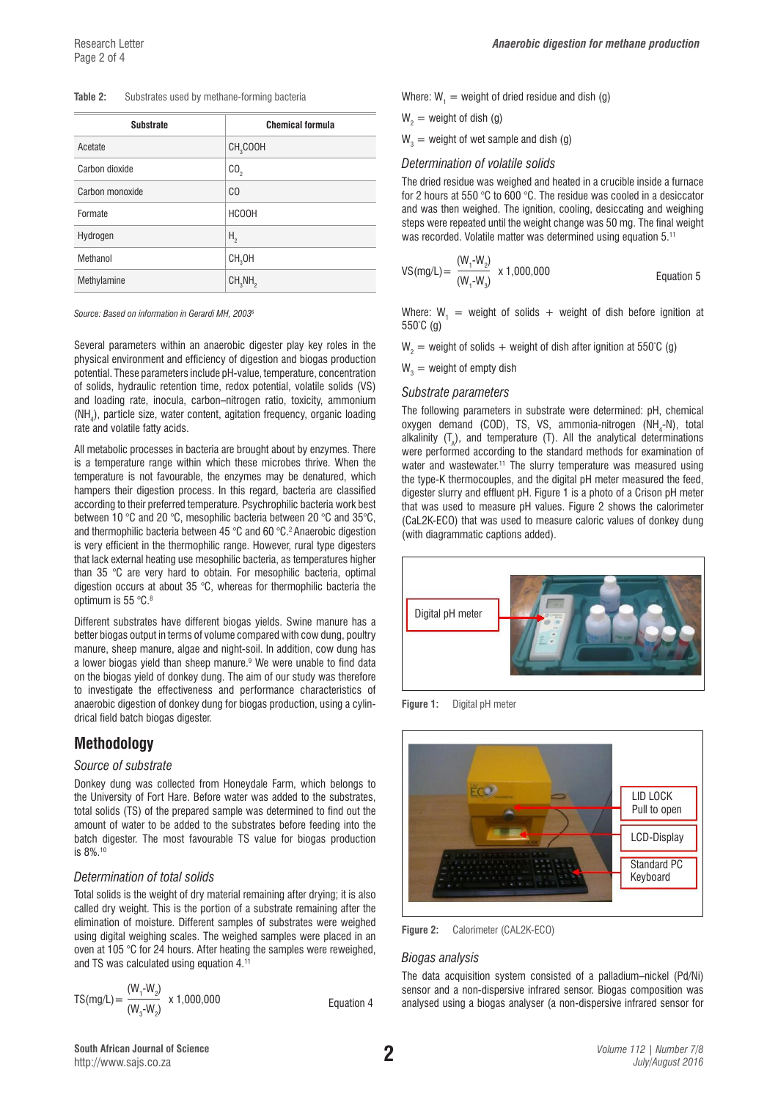#### **Table 2:** Substrates used by methane-forming bacteria

| <b>Substrate</b> | <b>Chemical formula</b>         |
|------------------|---------------------------------|
| Acetate          | CH <sub>3</sub> COOH            |
| Carbon dioxide   | CO <sub>2</sub>                 |
| Carbon monoxide  | CO                              |
| Formate          | <b>HCOOH</b>                    |
| Hydrogen         | Η,                              |
| Methanol         | CH <sub>3</sub> OH              |
| Methylamine      | CH <sub>3</sub> NH <sub>2</sub> |

*Source: Based on information in Gerardi MH, 20036*

Several parameters within an anaerobic digester play key roles in the physical environment and efficiency of digestion and biogas production potential. These parameters include pH-value, temperature, concentration of solids, hydraulic retention time, redox potential, volatile solids (VS) and loading rate, inocula, carbon–nitrogen ratio, toxicity, ammonium  $(NH<sub>4</sub>)$ , particle size, water content, agitation frequency, organic loading rate and volatile fatty acids.

All metabolic processes in bacteria are brought about by enzymes. There is a temperature range within which these microbes thrive. When the temperature is not favourable, the enzymes may be denatured, which hampers their digestion process. In this regard, bacteria are classified according to their preferred temperature. Psychrophilic bacteria work best between 10 °C and 20 °C, mesophilic bacteria between 20 °C and 35°C, and thermophilic bacteria between 45 °C and 60 °C.<sup>2</sup> Anaerobic digestion is very efficient in the thermophilic range. However, rural type digesters that lack external heating use mesophilic bacteria, as temperatures higher than 35 °C are very hard to obtain. For mesophilic bacteria, optimal digestion occurs at about 35 °C, whereas for thermophilic bacteria the optimum is 55 °C.8

Different substrates have different biogas yields. Swine manure has a better biogas output in terms of volume compared with cow dung, poultry manure, sheep manure, algae and night-soil. In addition, cow dung has a lower biogas yield than sheep manure.<sup>9</sup> We were unable to find data on the biogas yield of donkey dung. The aim of our study was therefore to investigate the effectiveness and performance characteristics of anaerobic digestion of donkey dung for biogas production, using a cylindrical field batch biogas digester.

# **Methodology**

#### *Source of substrate*

Donkey dung was collected from Honeydale Farm, which belongs to the University of Fort Hare. Before water was added to the substrates, total solids (TS) of the prepared sample was determined to find out the amount of water to be added to the substrates before feeding into the batch digester. The most favourable TS value for biogas production is 8%.10

#### *Determination of total solids*

Total solids is the weight of dry material remaining after drying; it is also called dry weight. This is the portion of a substrate remaining after the elimination of moisture. Different samples of substrates were weighed using digital weighing scales. The weighed samples were placed in an oven at 105 °C for 24 hours. After heating the samples were reweighed, and TS was calculated using equation 4.11

$$
TS(mg/L) = \frac{(W_1 - W_2)}{(W_3 - W_2)} \times 1,000,000
$$

Equation 4

Where:  $W_1$  = weight of dried residue and dish (g)

$$
W_2
$$
 = weight of dish (g)

 $W_3$  = weight of wet sample and dish (g)

#### *Determination of volatile solids*

The dried residue was weighed and heated in a crucible inside a furnace for 2 hours at 550 °C to 600 °C. The residue was cooled in a desiccator and was then weighed. The ignition, cooling, desiccating and weighing steps were repeated until the weight change was 50 mg. The final weight was recorded. Volatile matter was determined using equation 5.11

VS(mg/L) = 
$$
\frac{(W_1 - W_2)}{(W_1 - W_3)}
$$
 x 1,000,000  
Equation 5

Where:  $W_1$  = weight of solids + weight of dish before ignition at 550° C (g)

W<sub>2</sub> = weight of solids + weight of dish after ignition at 550°C (g)

 $\mathsf{W}_{\mathsf{3}} =$  weight of empty dish

#### *Substrate parameters*

The following parameters in substrate were determined: pH, chemical oxygen demand (COD), TS, VS, ammonia-nitrogen (NH<sub>4</sub>-N), total alkalinity  $(T_A)$ , and temperature (T). All the analytical determinations were performed according to the standard methods for examination of water and wastewater.<sup>11</sup> The slurry temperature was measured using the type-K thermocouples, and the digital pH meter measured the feed, digester slurry and effluent pH. Figure 1 is a photo of a Crison pH meter that was used to measure pH values. Figure 2 shows the calorimeter (CaL2K-ECO) that was used to measure caloric values of donkey dung (with diagrammatic captions added).



**Figure 1:** Digital pH meter



**Figure 2:** Calorimeter (CAL2K-ECO)

#### *Biogas analysis*

The data acquisition system consisted of a palladium–nickel (Pd/Ni) sensor and a non-dispersive infrared sensor. Biogas composition was analysed using a biogas analyser (a non-dispersive infrared sensor for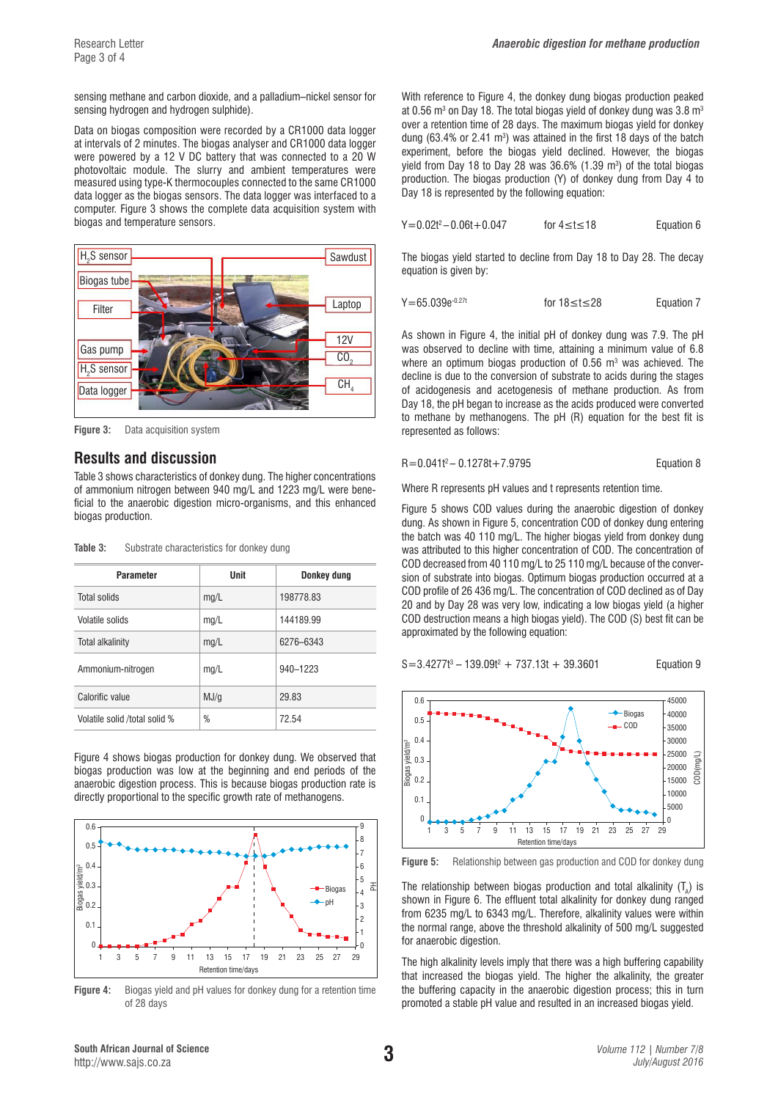Research Letter **Analysis and** *Anaerobic digestion for methane production* 

sensing methane and carbon dioxide, and a palladium–nickel sensor for sensing hydrogen and hydrogen sulphide).

Data on biogas composition were recorded by a CR1000 data logger at intervals of 2 minutes. The biogas analyser and CR1000 data logger were powered by a 12 V DC battery that was connected to a 20 W photovoltaic module. The slurry and ambient temperatures were measured using type-K thermocouples connected to the same CR1000 data logger as the biogas sensors. The data logger was interfaced to a computer. Figure 3 shows the complete data acquisition system with biogas and temperature sensors.



**Figure 3:** Data acquisition system

### **Results and discussion**

Table 3 shows characteristics of donkey dung. The higher concentrations of ammonium nitrogen between 940 mg/L and 1223 mg/L were beneficial to the anaerobic digestion micro-organisms, and this enhanced biogas production.

| Table 3: |  | Substrate characteristics for donkey dung |  |  |  |
|----------|--|-------------------------------------------|--|--|--|
|----------|--|-------------------------------------------|--|--|--|

| <b>Parameter</b>              | Unit | Donkey dung |  |
|-------------------------------|------|-------------|--|
| Total solids                  | mg/L | 198778.83   |  |
| Volatile solids               | mq/L | 144189.99   |  |
| <b>Total alkalinity</b>       | mg/L | 6276-6343   |  |
| Ammonium-nitrogen             | mq/L | 940-1223    |  |
| Calorific value               | MJ/q | 29.83       |  |
| Volatile solid /total solid % | %    | 72.54       |  |

Figure 4 shows biogas production for donkey dung. We observed that biogas production was low at the beginning and end periods of the anaerobic digestion process. This is because biogas production rate is directly proportional to the specific growth rate of methanogens.



**Figure 4:** Biogas yield and pH values for donkey dung for a retention time of 28 days

With reference to Figure 4, the donkey dung biogas production peaked at 0.56  $\mathrm{m}^3$  on Day 18. The total biogas yield of donkey dung was 3.8  $\mathrm{m}^3$ over a retention time of 28 days. The maximum biogas yield for donkey dung  $(63.4\%$  or 2.41 m<sup>3</sup>) was attained in the first 18 days of the batch experiment, before the biogas yield declined. However, the biogas yield from Day 18 to Day 28 was  $36.6\%$  (1.39 m<sup>3</sup>) of the total biogas production. The biogas production (Y) of donkey dung from Day 4 to Day 18 is represented by the following equation:

| $Y = 0.02t^2 - 0.06t + 0.047$ | for $4 \le t \le 18$ | Equation 6 |
|-------------------------------|----------------------|------------|
|                               |                      |            |

The biogas yield started to decline from Day 18 to Day 28. The decay equation is given by:

```
Y=65.039e<sup>-0.27t</sup> for 18≤t≤28 Equation 7
```
As shown in Figure 4, the initial pH of donkey dung was 7.9. The pH was observed to decline with time, attaining a minimum value of 6.8 where an optimum biogas production of  $0.56$  m<sup>3</sup> was achieved. The decline is due to the conversion of substrate to acids during the stages of acidogenesis and acetogenesis of methane production. As from Day 18, the pH began to increase as the acids produced were converted to methane by methanogens. The pH (R) equation for the best fit is represented as follows:

$$
R = 0.041t^2 - 0.1278t + 7.9795
$$
 Equation 8

Where R represents pH values and t represents retention time.

Figure 5 shows COD values during the anaerobic digestion of donkey dung. As shown in Figure 5, concentration COD of donkey dung entering the batch was 40 110 mg/L. The higher biogas yield from donkey dung was attributed to this higher concentration of COD. The concentration of COD decreased from 40 110 mg/L to 25 110 mg/L because of the conversion of substrate into biogas. Optimum biogas production occurred at a COD profile of 26 436 mg/L. The concentration of COD declined as of Day 20 and by Day 28 was very low, indicating a low biogas yield (a higher COD destruction means a high biogas yield). The COD (S) best fit can be approximated by the following equation:

$$
S=3.4277t^3-139.09t^2+737.13t+39.3601
$$

Equation 9



**Figure 5:** Relationship between gas production and COD for donkey dung

The relationship between biogas production and total alkalinity  $(T_{\text{A}})$  is shown in Figure 6. The effluent total alkalinity for donkey dung ranged from 6235 mg/L to 6343 mg/L. Therefore, alkalinity values were within the normal range, above the threshold alkalinity of 500 mg/L suggested for anaerobic digestion.

The high alkalinity levels imply that there was a high buffering capability that increased the biogas yield. The higher the alkalinity, the greater the buffering capacity in the anaerobic digestion process; this in turn promoted a stable pH value and resulted in an increased biogas yield.